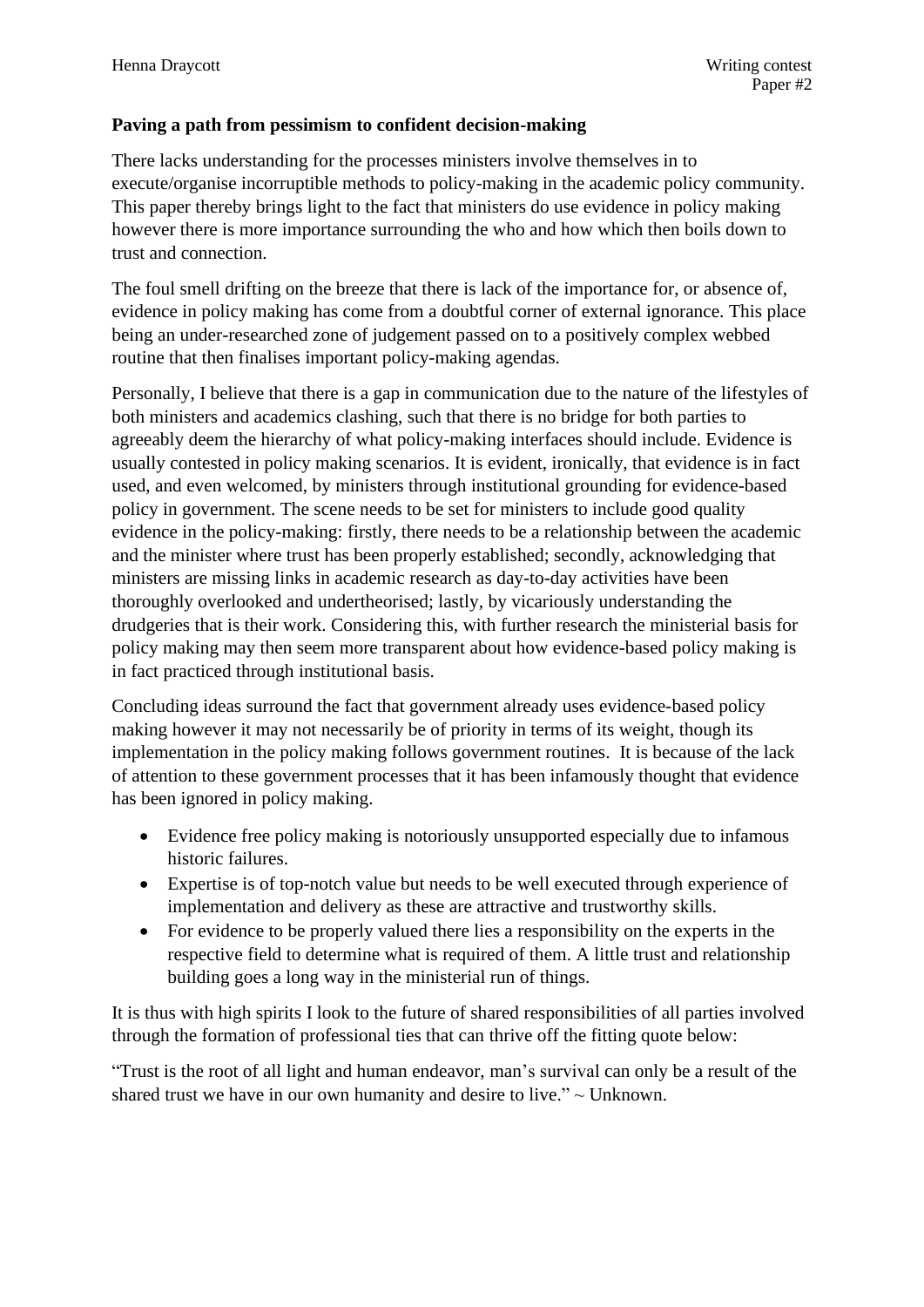## **Paving a path from pessimism to confident decision-making**

There lacks understanding for the processes ministers involve themselves in to execute/organise incorruptible methods to policy-making in the academic policy community. This paper thereby brings light to the fact that ministers do use evidence in policy making however there is more importance surrounding the who and how which then boils down to trust and connection.

The foul smell drifting on the breeze that there is lack of the importance for, or absence of, evidence in policy making has come from a doubtful corner of external ignorance. This place being an under-researched zone of judgement passed on to a positively complex webbed routine that then finalises important policy-making agendas.

Personally, I believe that there is a gap in communication due to the nature of the lifestyles of both ministers and academics clashing, such that there is no bridge for both parties to agreeably deem the hierarchy of what policy-making interfaces should include. Evidence is usually contested in policy making scenarios. It is evident, ironically, that evidence is in fact used, and even welcomed, by ministers through institutional grounding for evidence-based policy in government. The scene needs to be set for ministers to include good quality evidence in the policy-making: firstly, there needs to be a relationship between the academic and the minister where trust has been properly established; secondly, acknowledging that ministers are missing links in academic research as day-to-day activities have been thoroughly overlooked and undertheorised; lastly, by vicariously understanding the drudgeries that is their work. Considering this, with further research the ministerial basis for policy making may then seem more transparent about how evidence-based policy making is in fact practiced through institutional basis.

Concluding ideas surround the fact that government already uses evidence-based policy making however it may not necessarily be of priority in terms of its weight, though its implementation in the policy making follows government routines. It is because of the lack of attention to these government processes that it has been infamously thought that evidence has been ignored in policy making.

- Evidence free policy making is notoriously unsupported especially due to infamous historic failures.
- Expertise is of top-notch value but needs to be well executed through experience of implementation and delivery as these are attractive and trustworthy skills.
- For evidence to be properly valued there lies a responsibility on the experts in the respective field to determine what is required of them. A little trust and relationship building goes a long way in the ministerial run of things.

It is thus with high spirits I look to the future of shared responsibilities of all parties involved through the formation of professional ties that can thrive off the fitting quote below:

"Trust is the root of all light and human endeavor, man's survival can only be a result of the shared trust we have in our own humanity and desire to live." $\sim$  Unknown.